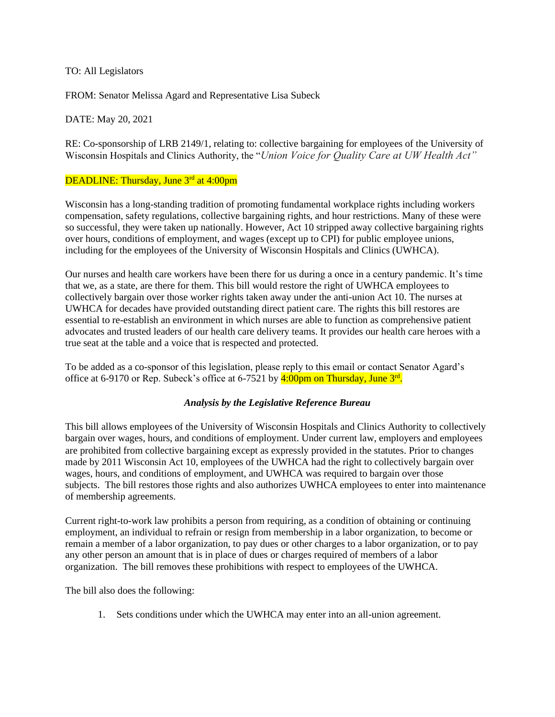## TO: All Legislators

FROM: Senator Melissa Agard and Representative Lisa Subeck

DATE: May 20, 2021

RE: Co-sponsorship of LRB 2149/1, relating to: collective bargaining for employees of the University of Wisconsin Hospitals and Clinics Authority, the "*Union Voice for Quality Care at UW Health Act"*

## DEADLINE: Thursday, June 3<sup>rd</sup> at 4:00pm

Wisconsin has a long-standing tradition of promoting fundamental workplace rights including workers compensation, safety regulations, collective bargaining rights, and hour restrictions. Many of these were so successful, they were taken up nationally. However, Act 10 stripped away collective bargaining rights over hours, conditions of employment, and wages (except up to CPI) for public employee unions, including for the employees of the University of Wisconsin Hospitals and Clinics (UWHCA).

Our nurses and health care workers have been there for us during a once in a century pandemic. It's time that we, as a state, are there for them. This bill would restore the right of UWHCA employees to collectively bargain over those worker rights taken away under the anti-union Act 10. The nurses at UWHCA for decades have provided outstanding direct patient care. The rights this bill restores are essential to re-establish an environment in which nurses are able to function as comprehensive patient advocates and trusted leaders of our health care delivery teams. It provides our health care heroes with a true seat at the table and a voice that is respected and protected.

To be added as a co-sponsor of this legislation, please reply to this email or contact Senator Agard's office at 6-9170 or Rep. Subeck's office at 6-7521 by  $\frac{4:00 \text{pm on Thursday, June } 3^{\text{rd}}}{$ .

## *Analysis by the Legislative Reference Bureau*

This bill allows employees of the University of Wisconsin Hospitals and Clinics Authority to collectively bargain over wages, hours, and conditions of employment. Under current law, employers and employees are prohibited from collective bargaining except as expressly provided in the statutes. Prior to changes made by 2011 Wisconsin Act 10, employees of the UWHCA had the right to collectively bargain over wages, hours, and conditions of employment, and UWHCA was required to bargain over those subjects. The bill restores those rights and also authorizes UWHCA employees to enter into maintenance of membership agreements.

Current right-to-work law prohibits a person from requiring, as a condition of obtaining or continuing employment, an individual to refrain or resign from membership in a labor organization, to become or remain a member of a labor organization, to pay dues or other charges to a labor organization, or to pay any other person an amount that is in place of dues or charges required of members of a labor organization. The bill removes these prohibitions with respect to employees of the UWHCA.

The bill also does the following:

1. Sets conditions under which the UWHCA may enter into an all-union agreement.